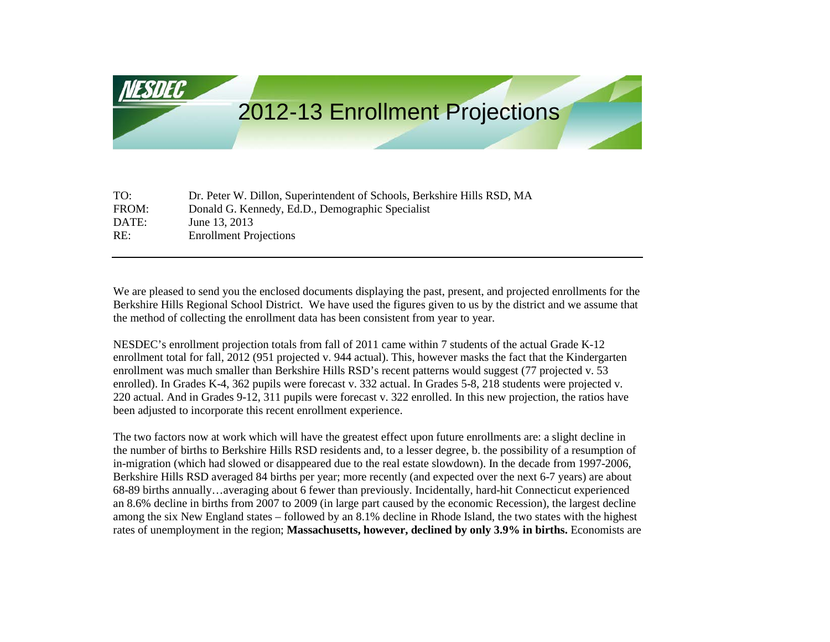# 2012-13 Enrollment Projections

| TO:   | Dr. Peter W. Dillon, Superintendent of Schools, Berkshire Hills RSD, MA |
|-------|-------------------------------------------------------------------------|
| FROM: | Donald G. Kennedy, Ed.D., Demographic Specialist                        |
| DATE: | June 13, 2013                                                           |
| RE:   | <b>Enrollment Projections</b>                                           |
|       |                                                                         |

We are pleased to send you the enclosed documents displaying the past, present, and projected enrollments for the Berkshire Hills Regional School District. We have used the figures given to us by the district and we assume that the method of collecting the enrollment data has been consistent from year to year.

NESDEC's enrollment projection totals from fall of 2011 came within 7 students of the actual Grade K-12 enrollment total for fall, 2012 (951 projected v. 944 actual). This, however masks the fact that the Kindergarten enrollment was much smaller than Berkshire Hills RSD's recent patterns would suggest (77 projected v. 53 enrolled). In Grades K-4, 362 pupils were forecast v. 332 actual. In Grades 5-8, 218 students were projected v. 220 actual. And in Grades 9-12, 311 pupils were forecast v. 322 enrolled. In this new projection, the ratios have been adjusted to incorporate this recent enrollment experience.

The two factors now at work which will have the greatest effect upon future enrollments are: a slight decline in the number of births to Berkshire Hills RSD residents and, to a lesser degree, b. the possibility of a resumption of in-migration (which had slowed or disappeared due to the real estate slowdown). In the decade from 1997-2006, Berkshire Hills RSD averaged 84 births per year; more recently (and expected over the next 6-7 years) are about 68-89 births annually…averaging about 6 fewer than previously. Incidentally, hard-hit Connecticut experienced an 8.6% decline in births from 2007 to 2009 (in large part caused by the economic Recession), the largest decline among the six New England states – followed by an 8.1% decline in Rhode Island, the two states with the highest rates of unemployment in the region; **Massachusetts, however, declined by only 3.9% in births.** Economists are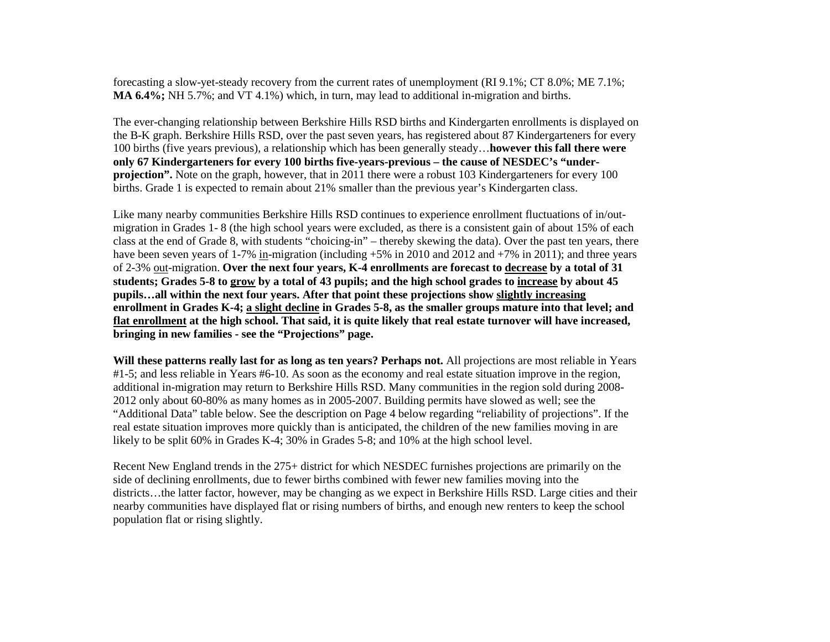forecasting a slow-yet-steady recovery from the current rates of unemployment (RI 9.1%; CT 8.0%; ME 7.1%; **MA 6.4%;** NH 5.7%; and VT 4.1%) which, in turn, may lead to additional in-migration and births.

The ever-changing relationship between Berkshire Hills RSD births and Kindergarten enrollments is displayed on the B-K graph. Berkshire Hills RSD, over the past seven years, has registered about 87 Kindergarteners for every 100 births (five years previous), a relationship which has been generally steady…**however this fall there were only 67 Kindergarteners for every 100 births five-years-previous – the cause of NESDEC's "underprojection".** Note on the graph, however, that in 2011 there were a robust 103 Kindergarteners for every 100 births. Grade 1 is expected to remain about 21% smaller than the previous year's Kindergarten class.

Like many nearby communities Berkshire Hills RSD continues to experience enrollment fluctuations of in/outmigration in Grades 1- 8 (the high school years were excluded, as there is a consistent gain of about 15% of each class at the end of Grade 8, with students "choicing-in" – thereby skewing the data). Over the past ten years, there have been seven years of 1-7% in-migration (including +5% in 2010 and 2012 and +7% in 2011); and three years of 2-3% out-migration. **Over the next four years, K-4 enrollments are forecast to decrease by a total of 31 students; Grades 5-8 to grow by a total of 43 pupils; and the high school grades to increase by about 45 pupils…all within the next four years. After that point these projections show slightly increasing enrollment in Grades K-4; a slight decline in Grades 5-8, as the smaller groups mature into that level; and flat enrollment at the high school. That said, it is quite likely that real estate turnover will have increased, bringing in new families - see the "Projections" page.**

**Will these patterns really last for as long as ten years? Perhaps not.** All projections are most reliable in Years #1-5; and less reliable in Years #6-10. As soon as the economy and real estate situation improve in the region, additional in-migration may return to Berkshire Hills RSD. Many communities in the region sold during 2008- 2012 only about 60-80% as many homes as in 2005-2007. Building permits have slowed as well; see the "Additional Data" table below. See the description on Page 4 below regarding "reliability of projections". If the real estate situation improves more quickly than is anticipated, the children of the new families moving in are likely to be split 60% in Grades K-4; 30% in Grades 5-8; and 10% at the high school level.

Recent New England trends in the 275+ district for which NESDEC furnishes projections are primarily on the side of declining enrollments, due to fewer births combined with fewer new families moving into the districts…the latter factor, however, may be changing as we expect in Berkshire Hills RSD. Large cities and their nearby communities have displayed flat or rising numbers of births, and enough new renters to keep the school population flat or rising slightly.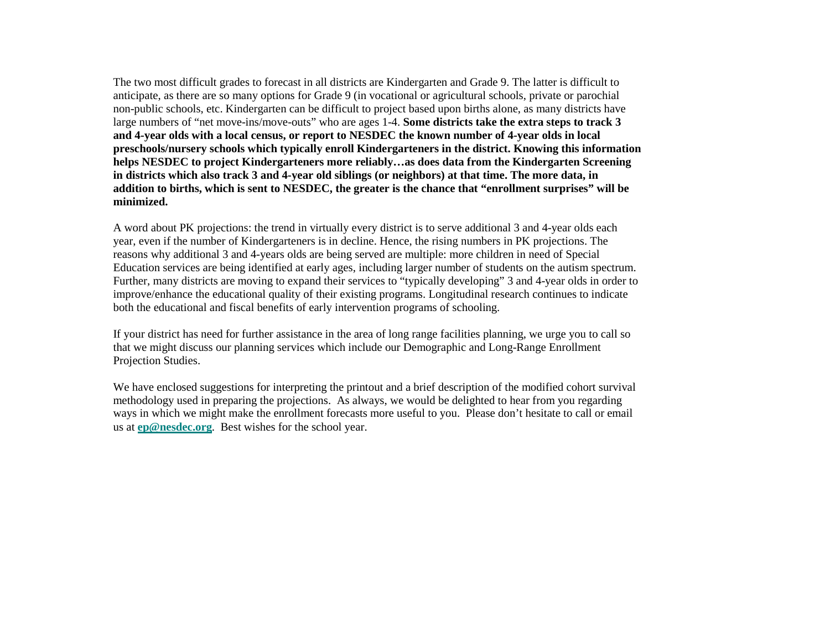The two most difficult grades to forecast in all districts are Kindergarten and Grade 9. The latter is difficult to anticipate, as there are so many options for Grade 9 (in vocational or agricultural schools, private or parochial non-public schools, etc. Kindergarten can be difficult to project based upon births alone, as many districts have large numbers of "net move-ins/move-outs" who are ages 1-4. **Some districts take the extra steps to track 3 and 4-year olds with a local census, or report to NESDEC the known number of 4-year olds in local preschools/nursery schools which typically enroll Kindergarteners in the district. Knowing this information helps NESDEC to project Kindergarteners more reliably…as does data from the Kindergarten Screening in districts which also track 3 and 4-year old siblings (or neighbors) at that time. The more data, in addition to births, which is sent to NESDEC, the greater is the chance that "enrollment surprises" will be minimized.** 

A word about PK projections: the trend in virtually every district is to serve additional 3 and 4-year olds each year, even if the number of Kindergarteners is in decline. Hence, the rising numbers in PK projections. The reasons why additional 3 and 4-years olds are being served are multiple: more children in need of Special Education services are being identified at early ages, including larger number of students on the autism spectrum. Further, many districts are moving to expand their services to "typically developing" 3 and 4-year olds in order to improve/enhance the educational quality of their existing programs. Longitudinal research continues to indicate both the educational and fiscal benefits of early intervention programs of schooling.

If your district has need for further assistance in the area of long range facilities planning, we urge you to call so that we might discuss our planning services which include our Demographic and Long-Range Enrollment Projection Studies.

We have enclosed suggestions for interpreting the printout and a brief description of the modified cohort survival methodology used in preparing the projections. As always, we would be delighted to hear from you regarding ways in which we might make the enrollment forecasts more useful to you. Please don't hesitate to call or email us at **[ep@nesdec.org](mailto:ep@nesdec.org)**. Best wishes for the school year.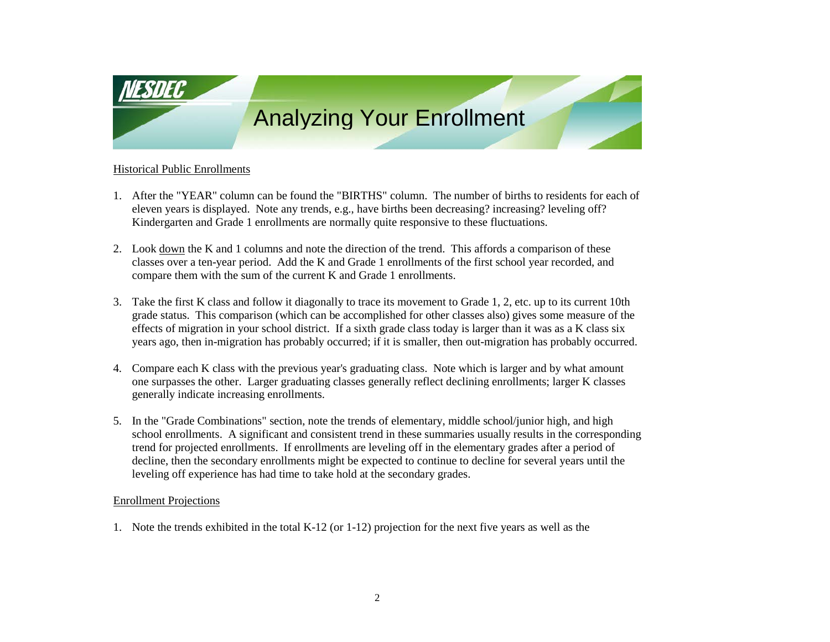

#### Historical Public Enrollments

- 1. After the "YEAR" column can be found the "BIRTHS" column. The number of births to residents for each of eleven years is displayed. Note any trends, e.g., have births been decreasing? increasing? leveling off? Kindergarten and Grade 1 enrollments are normally quite responsive to these fluctuations.
- 2. Look down the K and 1 columns and note the direction of the trend. This affords a comparison of these classes over a ten-year period. Add the K and Grade 1 enrollments of the first school year recorded, and compare them with the sum of the current K and Grade 1 enrollments.
- 3. Take the first K class and follow it diagonally to trace its movement to Grade 1, 2, etc. up to its current 10th grade status. This comparison (which can be accomplished for other classes also) gives some measure of the effects of migration in your school district. If a sixth grade class today is larger than it was as a K class six years ago, then in-migration has probably occurred; if it is smaller, then out-migration has probably occurred.
- 4. Compare each K class with the previous year's graduating class. Note which is larger and by what amount one surpasses the other. Larger graduating classes generally reflect declining enrollments; larger K classes generally indicate increasing enrollments.
- 5. In the "Grade Combinations" section, note the trends of elementary, middle school/junior high, and high school enrollments. A significant and consistent trend in these summaries usually results in the corresponding trend for projected enrollments. If enrollments are leveling off in the elementary grades after a period of decline, then the secondary enrollments might be expected to continue to decline for several years until the leveling off experience has had time to take hold at the secondary grades.

#### Enrollment Projections

1. Note the trends exhibited in the total K-12 (or 1-12) projection for the next five years as well as the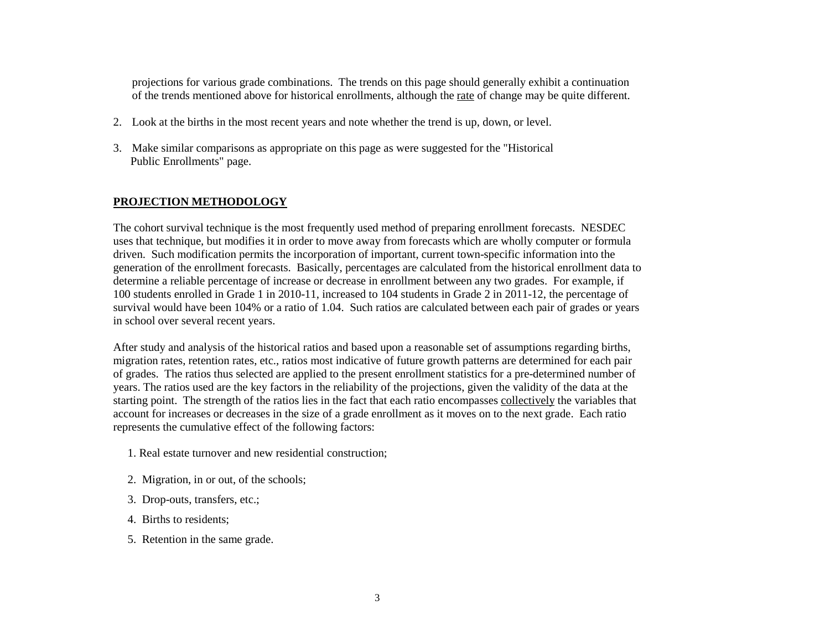projections for various grade combinations. The trends on this page should generally exhibit a continuation of the trends mentioned above for historical enrollments, although the rate of change may be quite different.

- 2. Look at the births in the most recent years and note whether the trend is up, down, or level.
- 3. Make similar comparisons as appropriate on this page as were suggested for the "Historical Public Enrollments" page.

### **PROJECTION METHODOLOGY**

The cohort survival technique is the most frequently used method of preparing enrollment forecasts. NESDEC uses that technique, but modifies it in order to move away from forecasts which are wholly computer or formula driven. Such modification permits the incorporation of important, current town-specific information into the generation of the enrollment forecasts. Basically, percentages are calculated from the historical enrollment data to determine a reliable percentage of increase or decrease in enrollment between any two grades. For example, if 100 students enrolled in Grade 1 in 2010-11, increased to 104 students in Grade 2 in 2011-12, the percentage of survival would have been 104% or a ratio of 1.04. Such ratios are calculated between each pair of grades or years in school over several recent years.

After study and analysis of the historical ratios and based upon a reasonable set of assumptions regarding births, migration rates, retention rates, etc., ratios most indicative of future growth patterns are determined for each pair of grades. The ratios thus selected are applied to the present enrollment statistics for a pre-determined number of years. The ratios used are the key factors in the reliability of the projections, given the validity of the data at the starting point. The strength of the ratios lies in the fact that each ratio encompasses collectively the variables that account for increases or decreases in the size of a grade enrollment as it moves on to the next grade. Each ratio represents the cumulative effect of the following factors:

- 1. Real estate turnover and new residential construction;
- 2. Migration, in or out, of the schools;
- 3. Drop-outs, transfers, etc.;
- 4. Births to residents;
- 5. Retention in the same grade.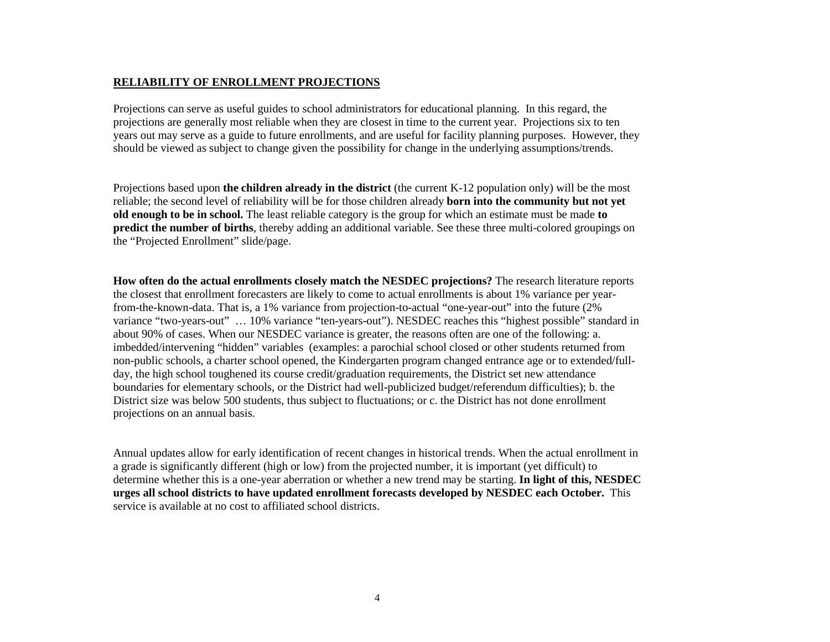#### **RELIABILITY OF ENROLLMENT PROJECTIONS**

Projections can serve as useful guides to school administrators for educational planning. In this regard, the projections are generally most reliable when they are closest in time to the current year. Projections six to ten years out may serve as a guide to future enrollments, and are useful for facility planning purposes. However, they should be viewed as subject to change given the possibility for change in the underlying assumptions/trends.

Projections based upon **the children already in the district** (the current K-12 population only) will be the most reliable; the second level of reliability will be for those children already **born into the community but not yet old enough to be in school.** The least reliable category is the group for which an estimate must be made **to predict the number of births**, thereby adding an additional variable. See these three multi-colored groupings on the "Projected Enrollment" slide/page.

**How often do the actual enrollments closely match the NESDEC projections?** The research literature reports the closest that enrollment forecasters are likely to come to actual enrollments is about 1% variance per yearfrom-the-known-data. That is, a 1% variance from projection-to-actual "one-year-out" into the future (2% variance "two-years-out" … 10% variance "ten-years-out"). NESDEC reaches this "highest possible" standard in about 90% of cases. When our NESDEC variance is greater, the reasons often are one of the following: a. imbedded/intervening "hidden" variables (examples: a parochial school closed or other students returned from non-public schools, a charter school opened, the Kindergarten program changed entrance age or to extended/fullday, the high school toughened its course credit/graduation requirements, the District set new attendance boundaries for elementary schools, or the District had well-publicized budget/referendum difficulties); b. the District size was below 500 students, thus subject to fluctuations; or c. the District has not done enrollment projections on an annual basis.

Annual updates allow for early identification of recent changes in historical trends. When the actual enrollment in a grade is significantly different (high or low) from the projected number, it is important (yet difficult) to determine whether this is a one-year aberration or whether a new trend may be starting. **In light of this, NESDEC urges all school districts to have updated enrollment forecasts developed by NESDEC each October.** This service is available at no cost to affiliated school districts.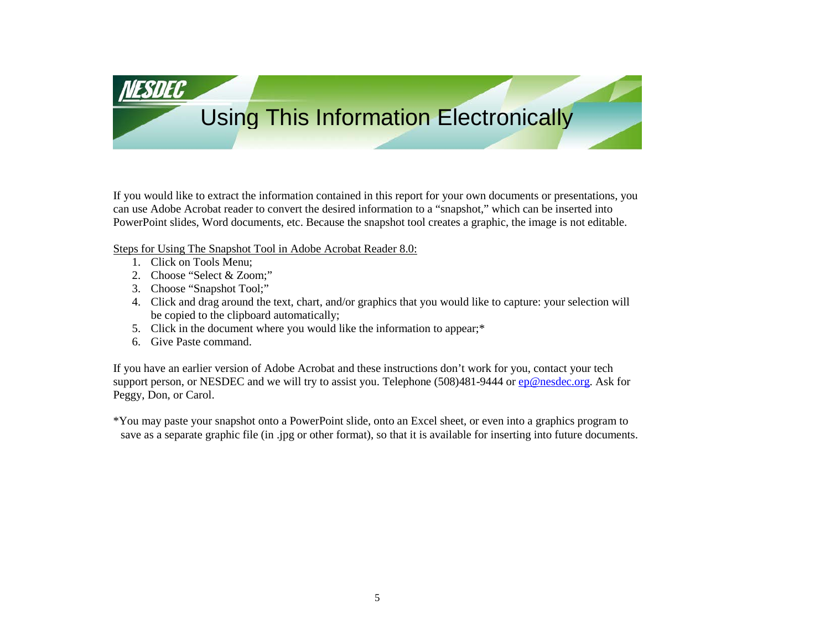Using This Information Electronically

If you would like to extract the information contained in this report for your own documents or presentations, you can use Adobe Acrobat reader to convert the desired information to a "snapshot," which can be inserted into PowerPoint slides, Word documents, etc. Because the snapshot tool creates a graphic, the image is not editable.

Steps for Using The Snapshot Tool in Adobe Acrobat Reader 8.0:

1. Click on Tools Menu;

<u>VESDEC</u>

- 2. Choose "Select & Zoom;"
- 3. Choose "Snapshot Tool;"
- 4. Click and drag around the text, chart, and/or graphics that you would like to capture: your selection will be copied to the clipboard automatically;
- 5. Click in the document where you would like the information to appear;\*
- 6. Give Paste command.

If you have an earlier version of Adobe Acrobat and these instructions don't work for you, contact your tech support person, or NESDEC and we will try to assist you. Telephone (508)481-9444 or [ep@nesdec.org.](mailto:ep@nesdec.org) Ask for Peggy, Don, or Carol.

\*You may paste your snapshot onto a PowerPoint slide, onto an Excel sheet, or even into a graphics program to save as a separate graphic file (in .jpg or other format), so that it is available for inserting into future documents.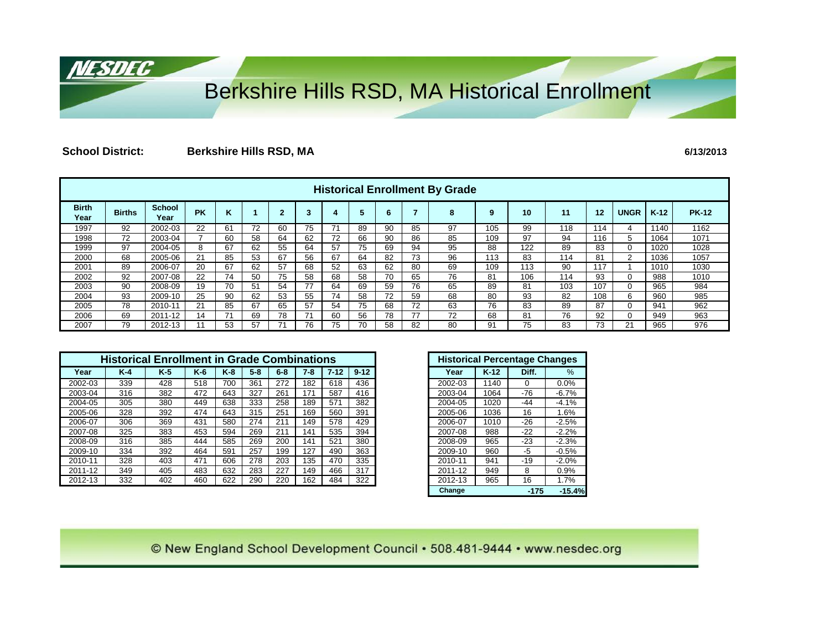# Berkshire Hills RSD, MA Historical Enrollment

## **School District: Berkshire Hills RSD, MA 6/13/2013**

<u>NESDEC</u>

|                      | <b>Historical Enrollment By Grade</b> |                       |           |    |              |           |    |    |    |    |    |    |     |     |     |     |             |        |              |
|----------------------|---------------------------------------|-----------------------|-----------|----|--------------|-----------|----|----|----|----|----|----|-----|-----|-----|-----|-------------|--------|--------------|
| <b>Birth</b><br>Year | <b>Births</b>                         | <b>School</b><br>Year | <b>PK</b> | ĸ  |              | <b>CO</b> | 3  |    |    | 6  |    | 8  | 9   | 10  | 11  | 12  | <b>UNGR</b> | $K-12$ | <b>PK-12</b> |
| 1997                 | 92                                    | 2002-03               | 22        | 61 |              | 60        | 75 |    | 89 | 90 | 85 | 97 | 105 | 99  | 118 | 114 | 4           | 1140   | 1162         |
| 1998                 | 72                                    | 2003-04               |           | 60 | 58           | 64        | 62 | 72 | 66 | 90 | 86 | 85 | 109 | 97  | 94  | 116 |             | 1064   | 1071         |
| 1999                 | 97                                    | 2004-05               | 8         | 67 | 62           | 55        | 64 | 57 | 75 | 69 | 94 | 95 | 88  | 122 | 89  | 83  | 0           | 1020   | 1028         |
| 2000                 | 68                                    | 2005-06               | 21        | 85 | 53           | 67        | 56 | 67 | 64 | 82 | 73 | 96 | 113 | 83  | 114 | 81  | 2           | 1036   | 1057         |
| 2001                 | 89                                    | 2006-07               | 20        | 67 | 62           | 57        | 68 | 52 | 63 | 62 | 80 | 69 | 109 | 113 | 90  | 117 |             | 1010   | 1030         |
| 2002                 | 92                                    | 2007-08               | 22        | 74 | 50           | 75        | 58 | 68 | 58 | 70 | 65 | 76 | 81  | 106 | 114 | 93  | 0           | 988    | 1010         |
| 2003                 | 90                                    | 2008-09               | 19        | 70 | $5^{\prime}$ | 54        |    | 64 | 69 | 59 | 76 | 65 | 89  | 81  | 103 | 107 |             | 965    | 984          |
| 2004                 | 93                                    | 2009-10               | 25        | 90 | 62           | 53        | 55 | 74 | 58 | 72 | 59 | 68 | 80  | 93  | 82  | 108 | 6           | 960    | 985          |
| 2005                 | 78                                    | 2010-11               | 21        | 85 | 67           | 65        | 57 | 54 | 75 | 68 | 72 | 63 | 76  | 83  | 89  | 87  | 0           | 941    | 962          |
| 2006                 | 69                                    | 2011-12               | 14        |    | 69           | 78        |    | 60 | 56 | 78 | 77 | 72 | 68  | 81  | 76  | 92  |             | 949    | 963          |
| 2007                 | 79                                    | 2012-13               |           | 53 | 57           |           | 76 | 75 | 70 | 58 | 82 | 80 | 91  | 75  | 83  | 73  | 21          | 965    | 976          |

|         |       | <b>Historical Enrollment in Grade Combinations</b> |       |       |       |         |       |          |          |
|---------|-------|----------------------------------------------------|-------|-------|-------|---------|-------|----------|----------|
| Year    | $K-4$ | $K-5$                                              | $K-6$ | $K-8$ | $5-8$ | $6 - 8$ | $7-8$ | $7 - 12$ | $9 - 12$ |
| 2002-03 | 339   | 428                                                | 518   | 700   | 361   | 272     | 182   | 618      | 436      |
| 2003-04 | 316   | 382                                                | 472   | 643   | 327   | 261     | 171   | 587      | 416      |
| 2004-05 | 305   | 380                                                | 449   | 638   | 333   | 258     | 189   | 571      | 382      |
| 2005-06 | 328   | 392                                                | 474   | 643   | 315   | 251     | 169   | 560      | 391      |
| 2006-07 | 306   | 369                                                | 431   | 580   | 274   | 211     | 49    | 578      | 429      |
| 2007-08 | 325   | 383                                                | 453   | 594   | 269   | 211     | 141   | 535      | 394      |
| 2008-09 | 316   | 385                                                | 444   | 585   | 269   | 200     | 141   | 521      | 380      |
| 2009-10 | 334   | 392                                                | 464   | 591   | 257   | 199     | 127   | 490      | 363      |
| 2010-11 | 328   | 403                                                | 471   | 606   | 278   | 203     | 35    | 470      | 335      |
| 2011-12 | 349   | 405                                                | 483   | 632   | 283   | 227     | 49    | 466      | 317      |
| 2012-13 | 332   | 402                                                | 460   | 622   | 290   | 220     | 162   | 484      | 322      |

| <b>Historical Percentage Changes</b> |        |        |          |
|--------------------------------------|--------|--------|----------|
| Year                                 | $K-12$ | Diff.  | %        |
| 2002-03                              | 1140   | 0      | 0.0%     |
| 2003-04                              | 1064   | $-76$  | $-6.7%$  |
| 2004-05                              | 1020   | $-44$  | $-4.1%$  |
| 2005-06                              | 1036   | 16     | 1.6%     |
| 2006-07                              | 1010   | $-26$  | $-2.5%$  |
| 2007-08                              | 988    | $-22$  | $-2.2%$  |
| 2008-09                              | 965    | $-23$  | $-2.3%$  |
| 2009-10                              | 960    | -5     | $-0.5%$  |
| 2010-11                              | 941    | $-19$  | $-2.0%$  |
| 2011-12                              | 949    | 8      | 0.9%     |
| 2012-13                              | 965    | 16     | 1.7%     |
| Change                               |        | $-175$ | $-15.4%$ |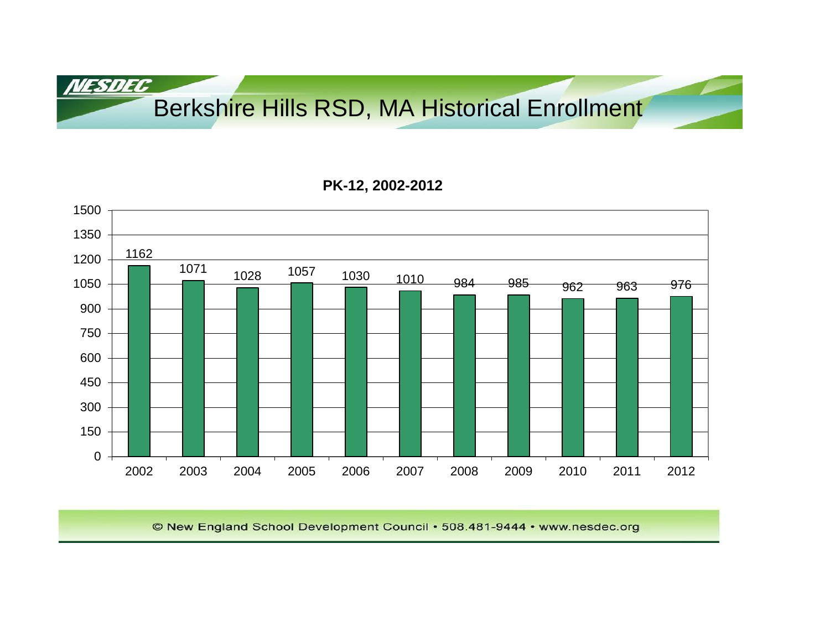Berkshire Hills RSD, MA Historical Enrollment

## **PK-12, 2002-2012**

**NESDEC** 

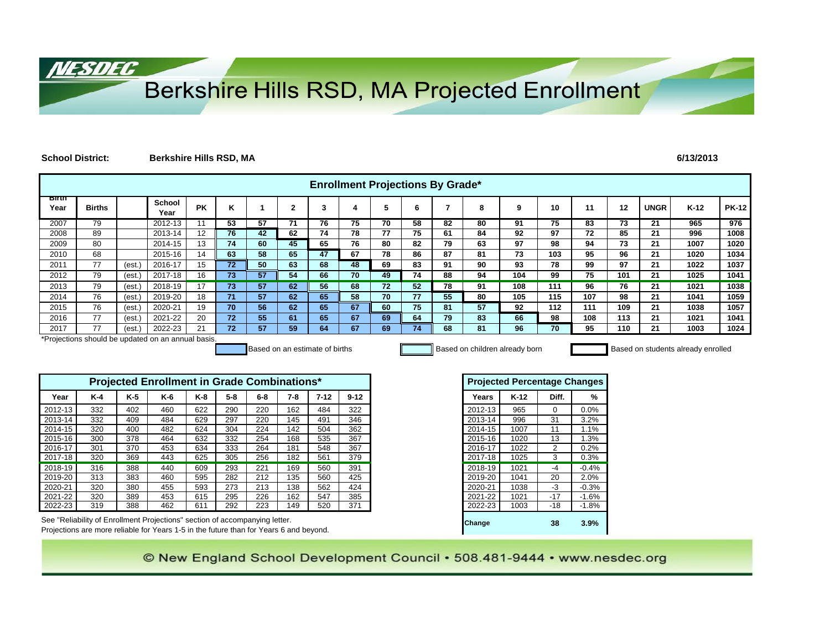# Berkshire Hills RSD, MA Projected Enrollment

#### **School District: Berkshire Hills RSD, MA 6/13/2013**

NESDEC

|                      | <b>Enrollment Projections By Grade*</b> |        |                                                    |           |                 |                                |              |          |          |    |    |    |                                |                                     |                |         |     |             |                                    |              |
|----------------------|-----------------------------------------|--------|----------------------------------------------------|-----------|-----------------|--------------------------------|--------------|----------|----------|----|----|----|--------------------------------|-------------------------------------|----------------|---------|-----|-------------|------------------------------------|--------------|
| <b>Birth</b><br>Year | <b>Births</b>                           |        | <b>School</b><br>Year                              | <b>PK</b> | Κ               |                                | $\mathbf{2}$ | 3        | 4        | 5  | 6  | 7  | 8                              | 9                                   | 10             | 11      | 12  | <b>UNGR</b> | $K-12$                             | <b>PK-12</b> |
| 2007                 | 79                                      |        | 2012-13                                            | 11        | 53              | 57                             | 71           | 76       | 75       | 70 | 58 | 82 | 80                             | 91                                  | 75             | 83      | 73  | 21          | 965                                | 976          |
| 2008                 | 89                                      |        | 2013-14                                            | 12        | 76              | 42                             | 62           | 74       | 78       | 77 | 75 | 61 | 84                             | 92                                  | 97             | 72      | 85  | 21          | 996                                | 1008         |
| 2009                 | 80                                      |        | 2014-15                                            | 13        | 74              | 60                             | 45           | 65       | 76       | 80 | 82 | 79 | 63                             | 97                                  | 98             | 94      | 73  | 21          | 1007                               | 1020         |
| 2010                 | 68                                      |        | 2015-16                                            | 14        | 63              | 58                             | 65           | 47       | 67       | 78 | 86 | 87 | 81                             | 73                                  | 103            | 95      | 96  | 21          | 1020                               | 1034         |
| 2011                 | 77                                      | (est.) | 2016-17                                            | 15        | $\overline{72}$ | 50                             | 63           | 68       | 48       | 69 | 83 | 91 | 90                             | 93                                  | 78             | 99      | 97  | 21          | 1022                               | 1037         |
| 2012                 | 79                                      | (est.  | 2017-18                                            | 16        | 73              | 57                             | 54           | 66       | 70       | 49 | 74 | 88 | 94                             | 104                                 | 99             | 75      | 101 | 21          | 1025                               | 1041         |
| 2013                 | 79                                      | (est.) | 2018-19                                            | 17        | 73              | 57                             | 62           | 56       | 68       | 72 | 52 | 78 | 91                             | 108                                 | 111            | 96      | 76  | 21          | 1021                               | 1038         |
| 2014                 | 76                                      | (est.) | 2019-20                                            | 18        | 71              | 57                             | 62           | 65       | 58       | 70 | 77 | 55 | 80                             | 105                                 | 115            | 107     | 98  | 21          | 1041                               | 1059         |
| 2015                 | 76                                      | (est.) | 2020-21                                            | 19        | 70              | 56                             | 62           | 65       | 67       | 60 | 75 | 81 | 57                             | 92                                  | 112            | 111     | 109 | 21          | 1038                               | 1057         |
| 2016                 | 77                                      | (est.  | 2021-22                                            | 20        | 72              | 55                             | 61           | 65       | 67       | 69 | 64 | 79 | 83                             | 66                                  | 98             | 108     | 113 | 21          | 1021                               | 1041         |
| 2017                 | 77                                      | (est.  | 2022-23                                            | 21        | 72              | 57                             | 59           | 64       | 67       | 69 | 74 | 68 | 81                             | 96                                  | 70             | 95      | 110 | 21          | 1003                               | 1024         |
|                      |                                         |        | *Projections should be updated on an annual basis. |           |                 | Based on an estimate of births |              |          |          |    |    |    | Based on children already born |                                     |                |         |     |             | Based on students already enrolled |              |
|                      |                                         |        | Projected Enrollment in Grade Combinations*        |           |                 |                                |              |          |          |    |    |    |                                | <b>Projected Percentage Changes</b> |                |         |     |             |                                    |              |
| Year                 | $K-4$                                   | $K-5$  | $K-6$                                              | K-8       | $5-8$           | $6-8$                          | 7-8          | $7 - 12$ | $9 - 12$ |    |    |    | Years                          | $K-12$                              | Diff.          | %       |     |             |                                    |              |
| 2012-13              | 332                                     | 402    | 460                                                | 622       | 290             | 220                            | 162          | 484      | 322      |    |    |    | 2012-13                        | 965                                 | $\Omega$       | 0.0%    |     |             |                                    |              |
| 2013-14              | 332                                     | 409    | 484                                                | 629       | 297             | 220                            | 145          | 491      | 346      |    |    |    | 2013-14                        | 996                                 | 31             | 3.2%    |     |             |                                    |              |
| 2014-15              | 320                                     | 400    | 482                                                | 624       | 304             | 224                            | 142          | 504      | 362      |    |    |    | 2014-15                        | 1007                                | 11             | 1.1%    |     |             |                                    |              |
| 2015-16              | 300                                     | 378    | 464                                                | 632       | 332             | 254                            | 168          | 535      | 367      |    |    |    | 2015-16                        | 1020                                | 13             | 1.3%    |     |             |                                    |              |
| 2016-17              | 301                                     | 370    | 453                                                | 634       | 333             | 264                            | 181          | 548      | 367      |    |    |    | 2016-17                        | 1022                                | $\overline{2}$ | 0.2%    |     |             |                                    |              |
| 2017-18              | 320                                     | 369    | 443                                                | 625       | 305             | 256                            | 182          | 561      | 379      |    |    |    | 2017-18                        | 1025                                | 3              | 0.3%    |     |             |                                    |              |
| 2018-19              | 316                                     | 388    | 440                                                | 609       | 293             | 221                            | 169          | 560      | 391      |    |    |    | 2018-19                        | 1021                                | $-4$           | $-0.4%$ |     |             |                                    |              |
| 2019-20              | 313                                     | 383    | 460                                                | 595       | 282             | 212                            | 135          | 560      | 425      |    |    |    | 2019-20                        | 1041                                | 20             | 2.0%    |     |             |                                    |              |
| 2020-21              | 320                                     | 380    | 455                                                | 593       | 273             | 213                            | 138          | 562      | 424      |    |    |    | 2020-21                        | 1038                                | $-3$           | $-0.3%$ |     |             |                                    |              |

See "Reliability of Enrollment Projections" section of accompanying letter. **Change 38 3.9% 3.9%** Projections are more reliable for Years 1-5 in the future than for Years 6 and beyond.

© New England School Development Council • 508.481-9444 • www.nesdec.org

2021-22 | 320 | 389 | 453 | 615 | 295 | 226 | 162 | 547 | 385 | | 2021-22 | 1021 | -17 | -1.6% 2022-23 319 388 462 611 292 223 149 520 371 2022-23 1003 -18 -1.8%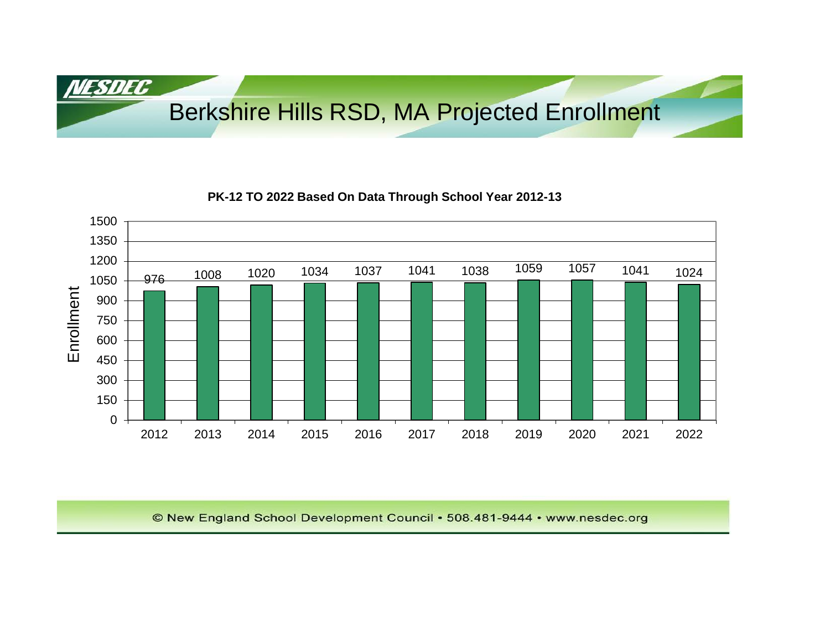Berkshire Hills RSD, MA Projected Enrollment

## **PK-12 TO 2022 Based On Data Through School Year 2012-13**

NESDEC

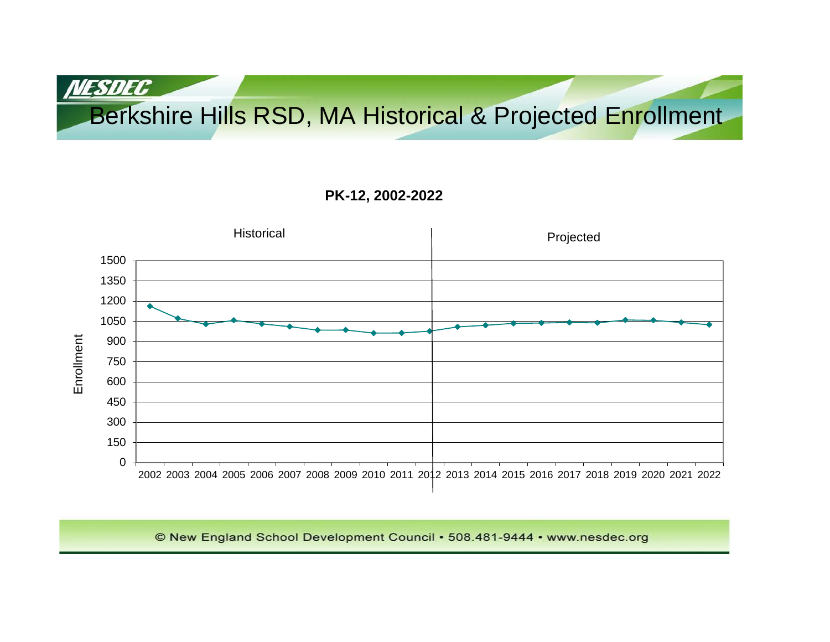# Berkshire Hills RSD, MA Historical & Projected Enrollment

## **PK-12, 2002-2022**

**NESDEC** 

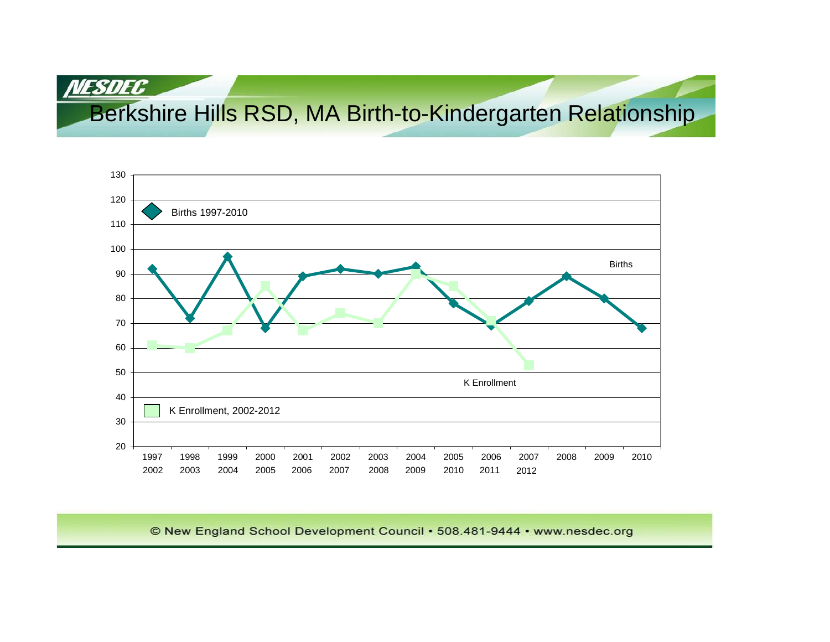Berkshire Hills RSD, MA Birth-to-Kindergarten Relationship

NESDEC